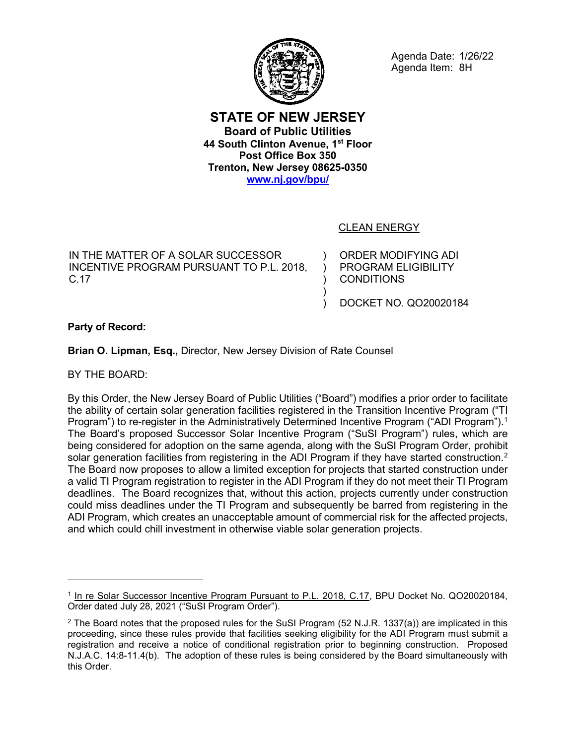

Agenda Date: 1/26/22 Agenda Item: 8H

**STATE OF NEW JERSEY Board of Public Utilities 44 South Clinton Avenue, 1st Floor Post Office Box 350 Trenton, New Jersey 08625-0350 [www.nj.gov/bpu/](http://www.nj.gov/bpu/)**

> ) ) ) ) )

# CLEAN ENERGY

IN THE MATTER OF A SOLAR SUCCESSOR INCENTIVE PROGRAM PURSUANT TO P.L. 2018, C.17

ORDER MODIFYING ADI PROGRAM ELIGIBILITY **CONDITIONS** 

DOCKET NO. QO20020184

**Party of Record:**

**Brian O. Lipman, Esq.,** Director, New Jersey Division of Rate Counsel

BY THE BOARD:

 $\overline{a}$ 

By this Order, the New Jersey Board of Public Utilities ("Board") modifies a prior order to facilitate the ability of certain solar generation facilities registered in the Transition Incentive Program ("TI Program") to re-register in the Administratively Determined Incentive Program ("ADI Program"). $^{\text{1}}$  $^{\text{1}}$  $^{\text{1}}$ The Board's proposed Successor Solar Incentive Program ("SuSI Program") rules, which are being considered for adoption on the same agenda, along with the SuSI Program Order, prohibit solar generation facilities from registering in the ADI Program if they have started construction.<sup>[2](#page-0-1)</sup> The Board now proposes to allow a limited exception for projects that started construction under a valid TI Program registration to register in the ADI Program if they do not meet their TI Program deadlines. The Board recognizes that, without this action, projects currently under construction could miss deadlines under the TI Program and subsequently be barred from registering in the ADI Program, which creates an unacceptable amount of commercial risk for the affected projects, and which could chill investment in otherwise viable solar generation projects.

<span id="page-0-0"></span><sup>1</sup> In re Solar Successor Incentive Program Pursuant to P.L. 2018, C.17, BPU Docket No. QO20020184, Order dated July 28, 2021 ("SuSI Program Order").

<span id="page-0-1"></span><sup>2</sup> The Board notes that the proposed rules for the SuSI Program (52 N.J.R. 1337(a)) are implicated in this proceeding, since these rules provide that facilities seeking eligibility for the ADI Program must submit a registration and receive a notice of conditional registration prior to beginning construction. Proposed N.J.A.C. 14:8-11.4(b). The adoption of these rules is being considered by the Board simultaneously with this Order.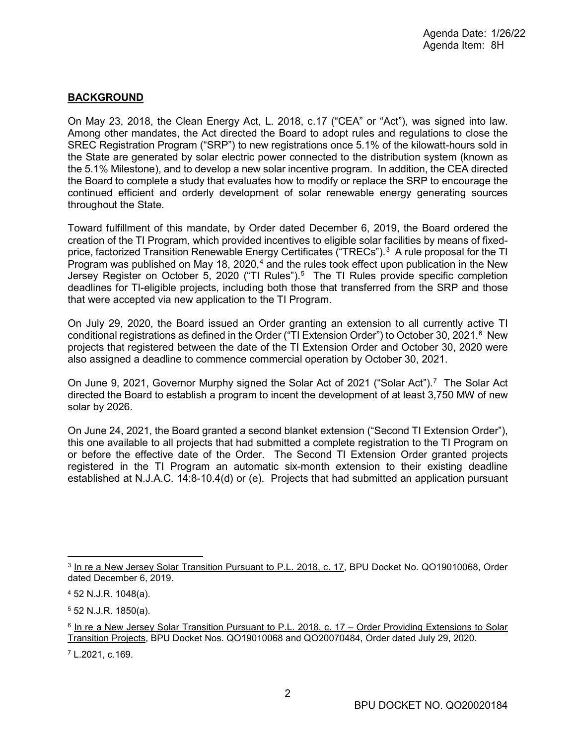### **BACKGROUND**

On May 23, 2018, the Clean Energy Act, L. 2018, c.17 ("CEA" or "Act"), was signed into law. Among other mandates, the Act directed the Board to adopt rules and regulations to close the SREC Registration Program ("SRP") to new registrations once 5.1% of the kilowatt-hours sold in the State are generated by solar electric power connected to the distribution system (known as the 5.1% Milestone), and to develop a new solar incentive program. In addition, the CEA directed the Board to complete a study that evaluates how to modify or replace the SRP to encourage the continued efficient and orderly development of solar renewable energy generating sources throughout the State.

Toward fulfillment of this mandate, by Order dated December 6, 2019, the Board ordered the creation of the TI Program, which provided incentives to eligible solar facilities by means of fixed-price, factorized Transition Renewable Energy Certificates ("TRECs").<sup>[3](#page-1-0)</sup> A rule proposal for the TI Program was published on May 18, 2020, $^4$  $^4$  and the rules took effect upon publication in the New Jersey Register on October [5](#page-1-2), 2020 ("TI Rules").<sup>5</sup> The TI Rules provide specific completion deadlines for TI-eligible projects, including both those that transferred from the SRP and those that were accepted via new application to the TI Program.

On July 29, 2020, the Board issued an Order granting an extension to all currently active TI conditional registrations as defined in the Order ("TI Extension Order") to October 30, 2021. $^{\rm 6}$  $^{\rm 6}$  $^{\rm 6}$  New projects that registered between the date of the TI Extension Order and October 30, 2020 were also assigned a deadline to commence commercial operation by October 30, 2021.

On June 9, 2021, Governor Murphy signed the Solar Act of 2021 ("Solar Act").<sup>[7](#page-1-4)</sup> The Solar Act directed the Board to establish a program to incent the development of at least 3,750 MW of new solar by 2026.

On June 24, 2021, the Board granted a second blanket extension ("Second TI Extension Order"), this one available to all projects that had submitted a complete registration to the TI Program on or before the effective date of the Order. The Second TI Extension Order granted projects registered in the TI Program an automatic six-month extension to their existing deadline established at N.J.A.C. 14:8-10.4(d) or (e). Projects that had submitted an application pursuant

<span id="page-1-0"></span><sup>&</sup>lt;sup>3</sup> In re a New Jersey Solar Transition Pursuant to P.L. 2018, c. 17, BPU Docket No. QO19010068, Order dated December 6, 2019.

<span id="page-1-1"></span><sup>4</sup> 52 N.J.R. 1048(a).

<span id="page-1-2"></span><sup>5</sup> 52 N.J.R. 1850(a).

<span id="page-1-3"></span><sup>6</sup> In re a New Jersey Solar Transition Pursuant to P.L. 2018, c. 17 – Order Providing Extensions to Solar Transition Projects, BPU Docket Nos. QO19010068 and QO20070484, Order dated July 29, 2020.

<span id="page-1-4"></span><sup>7</sup> L.2021, c.169.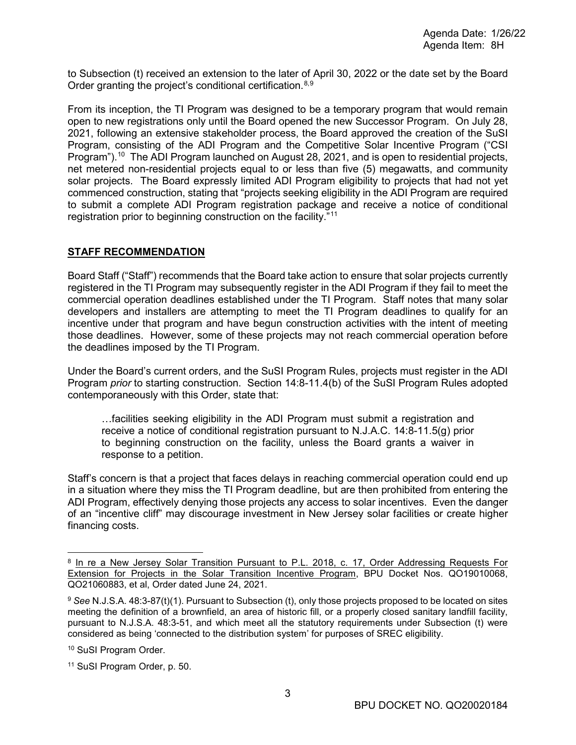to Subsection (t) received an extension to the later of April 30, 2022 or the date set by the Board Order granting the project's conditional certification.<sup>[8](#page-2-0),[9](#page-2-1)</sup>

From its inception, the TI Program was designed to be a temporary program that would remain open to new registrations only until the Board opened the new Successor Program. On July 28, 2021, following an extensive stakeholder process, the Board approved the creation of the SuSI Program, consisting of the ADI Program and the Competitive Solar Incentive Program ("CSI Program").<sup>[10](#page-2-2)</sup> The ADI Program launched on August 28, 2021, and is open to residential projects, net metered non-residential projects equal to or less than five (5) megawatts, and community solar projects. The Board expressly limited ADI Program eligibility to projects that had not yet commenced construction, stating that "projects seeking eligibility in the ADI Program are required to submit a complete ADI Program registration package and receive a notice of conditional registration prior to beginning construction on the facility."[11](#page-2-3)

## **STAFF RECOMMENDATION**

Board Staff ("Staff") recommends that the Board take action to ensure that solar projects currently registered in the TI Program may subsequently register in the ADI Program if they fail to meet the commercial operation deadlines established under the TI Program. Staff notes that many solar developers and installers are attempting to meet the TI Program deadlines to qualify for an incentive under that program and have begun construction activities with the intent of meeting those deadlines. However, some of these projects may not reach commercial operation before the deadlines imposed by the TI Program.

Under the Board's current orders, and the SuSI Program Rules, projects must register in the ADI Program *prior* to starting construction. Section 14:8-11.4(b) of the SuSI Program Rules adopted contemporaneously with this Order, state that:

…facilities seeking eligibility in the ADI Program must submit a registration and receive a notice of conditional registration pursuant to N.J.A.C. 14:8-11.5(g) prior to beginning construction on the facility, unless the Board grants a waiver in response to a petition.

Staff's concern is that a project that faces delays in reaching commercial operation could end up in a situation where they miss the TI Program deadline, but are then prohibited from entering the ADI Program, effectively denying those projects any access to solar incentives. Even the danger of an "incentive cliff" may discourage investment in New Jersey solar facilities or create higher financing costs.

<span id="page-2-0"></span> <sup>8</sup> In re a New Jersey Solar Transition Pursuant to P.L. 2018, c. 17, Order Addressing Requests For Extension for Projects in the Solar Transition Incentive Program, BPU Docket Nos. QO19010068, QO21060883, et al, Order dated June 24, 2021.

<span id="page-2-1"></span><sup>9</sup> *See* N.J.S.A. 48:3-87(t)(1). Pursuant to Subsection (t), only those projects proposed to be located on sites meeting the definition of a brownfield, an area of historic fill, or a properly closed sanitary landfill facility, pursuant to N.J.S.A. 48:3-51, and which meet all the statutory requirements under Subsection (t) were considered as being 'connected to the distribution system' for purposes of SREC eligibility.

<span id="page-2-2"></span><sup>10</sup> SuSI Program Order.

<span id="page-2-3"></span><sup>11</sup> SuSI Program Order, p. 50.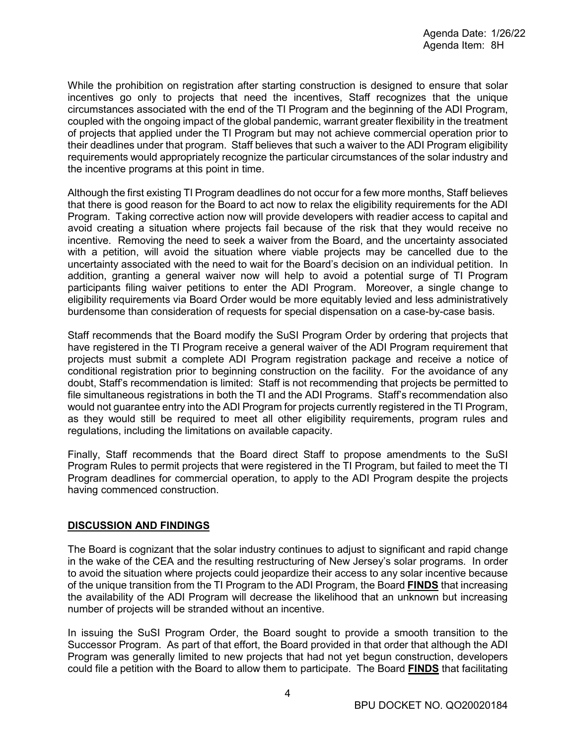While the prohibition on registration after starting construction is designed to ensure that solar incentives go only to projects that need the incentives, Staff recognizes that the unique circumstances associated with the end of the TI Program and the beginning of the ADI Program, coupled with the ongoing impact of the global pandemic, warrant greater flexibility in the treatment of projects that applied under the TI Program but may not achieve commercial operation prior to their deadlines under that program. Staff believes that such a waiver to the ADI Program eligibility requirements would appropriately recognize the particular circumstances of the solar industry and the incentive programs at this point in time.

Although the first existing TI Program deadlines do not occur for a few more months, Staff believes that there is good reason for the Board to act now to relax the eligibility requirements for the ADI Program. Taking corrective action now will provide developers with readier access to capital and avoid creating a situation where projects fail because of the risk that they would receive no incentive. Removing the need to seek a waiver from the Board, and the uncertainty associated with a petition, will avoid the situation where viable projects may be cancelled due to the uncertainty associated with the need to wait for the Board's decision on an individual petition. In addition, granting a general waiver now will help to avoid a potential surge of TI Program participants filing waiver petitions to enter the ADI Program. Moreover, a single change to eligibility requirements via Board Order would be more equitably levied and less administratively burdensome than consideration of requests for special dispensation on a case-by-case basis.

Staff recommends that the Board modify the SuSI Program Order by ordering that projects that have registered in the TI Program receive a general waiver of the ADI Program requirement that projects must submit a complete ADI Program registration package and receive a notice of conditional registration prior to beginning construction on the facility. For the avoidance of any doubt, Staff's recommendation is limited: Staff is not recommending that projects be permitted to file simultaneous registrations in both the TI and the ADI Programs. Staff's recommendation also would not guarantee entry into the ADI Program for projects currently registered in the TI Program, as they would still be required to meet all other eligibility requirements, program rules and regulations, including the limitations on available capacity.

Finally, Staff recommends that the Board direct Staff to propose amendments to the SuSI Program Rules to permit projects that were registered in the TI Program, but failed to meet the TI Program deadlines for commercial operation, to apply to the ADI Program despite the projects having commenced construction.

### **DISCUSSION AND FINDINGS**

The Board is cognizant that the solar industry continues to adjust to significant and rapid change in the wake of the CEA and the resulting restructuring of New Jersey's solar programs. In order to avoid the situation where projects could jeopardize their access to any solar incentive because of the unique transition from the TI Program to the ADI Program, the Board **FINDS** that increasing the availability of the ADI Program will decrease the likelihood that an unknown but increasing number of projects will be stranded without an incentive.

In issuing the SuSI Program Order, the Board sought to provide a smooth transition to the Successor Program. As part of that effort, the Board provided in that order that although the ADI Program was generally limited to new projects that had not yet begun construction, developers could file a petition with the Board to allow them to participate. The Board **FINDS** that facilitating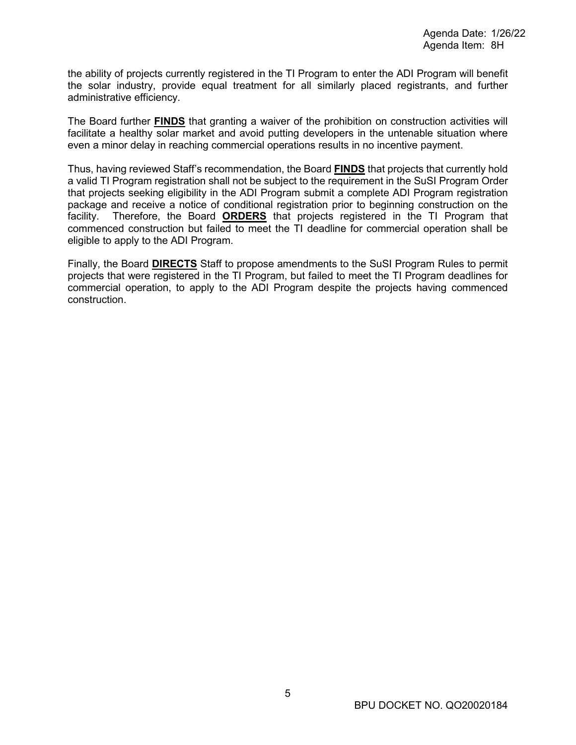the ability of projects currently registered in the TI Program to enter the ADI Program will benefit the solar industry, provide equal treatment for all similarly placed registrants, and further administrative efficiency.

The Board further **FINDS** that granting a waiver of the prohibition on construction activities will facilitate a healthy solar market and avoid putting developers in the untenable situation where even a minor delay in reaching commercial operations results in no incentive payment.

Thus, having reviewed Staff's recommendation, the Board **FINDS** that projects that currently hold a valid TI Program registration shall not be subject to the requirement in the SuSI Program Order that projects seeking eligibility in the ADI Program submit a complete ADI Program registration package and receive a notice of conditional registration prior to beginning construction on the facility. Therefore, the Board **ORDERS** that projects registered in the TI Program that commenced construction but failed to meet the TI deadline for commercial operation shall be eligible to apply to the ADI Program.

Finally, the Board **DIRECTS** Staff to propose amendments to the SuSI Program Rules to permit projects that were registered in the TI Program, but failed to meet the TI Program deadlines for commercial operation, to apply to the ADI Program despite the projects having commenced construction.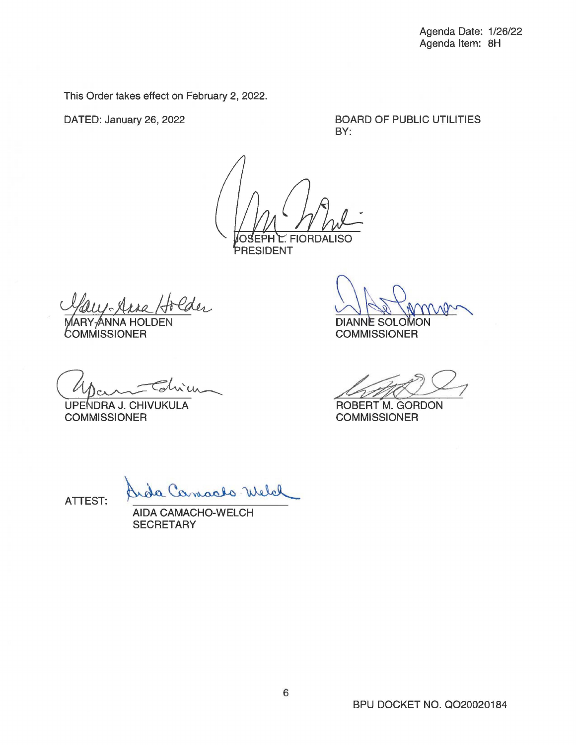This Order takes effect on February 2, 2022.

DATED: January 26, 2022

BOARD OF PUBLIC UTILITIES BY:

**FIORDALISO** 

PRESIDENT

Holder<br>DEN

ANNA HOL DEN COMMISSIONER

Chien

**COMMISSIONER** 

ON A Primer<br>DIANNE SOLOMON<br>COMMISSIONER DIANNE SOLOMON<br>COMMISSIONER<br>ROBERT M. GORDON

ROBERT M. GORDON **COMMISSIONER** 

ATTEST:

uda Camaalo Welch

AIDA CAMACHO-WELCH **SECRETARY**